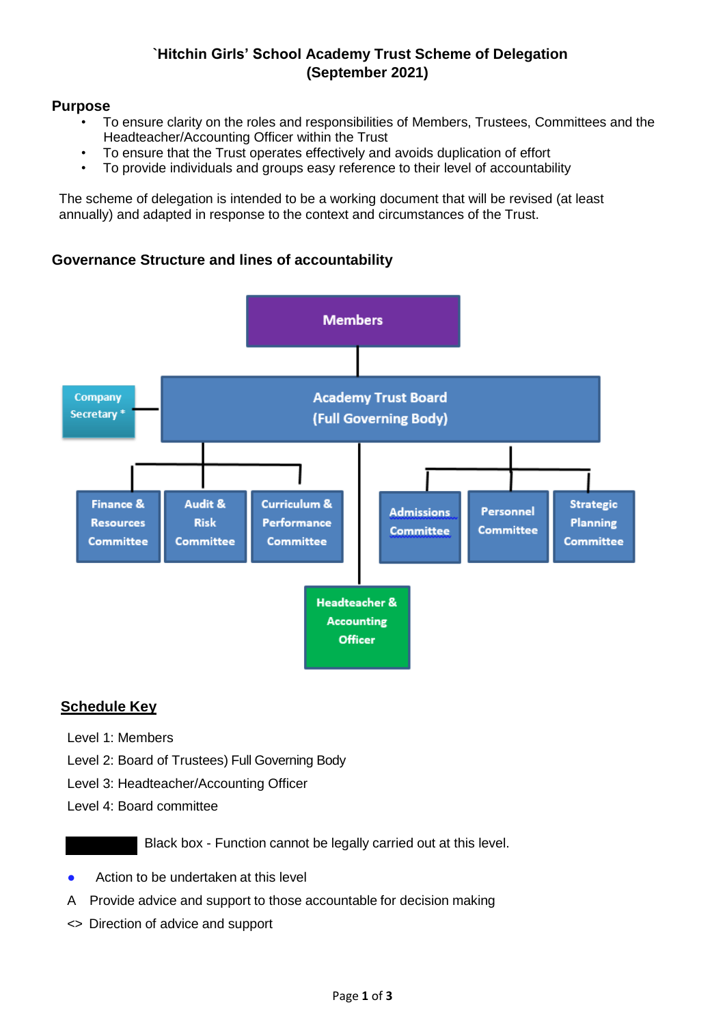### **`Hitchin Girls' School Academy Trust Scheme of Delegation (September 2021)**

#### **Purpose**

- To ensure clarity on the roles and responsibilities of Members, Trustees, Committees and the Headteacher/Accounting Officer within the Trust
- To ensure that the Trust operates effectively and avoids duplication of effort
- To provide individuals and groups easy reference to their level of accountability

The scheme of delegation is intended to be a working document that will be revised (at least annually) and adapted in response to the context and circumstances of the Trust.

### **Governance Structure and lines of accountability**



### **Schedule Key**

- Level 1: Members
- Level 2: Board of Trustees) Full Governing Body
- Level 3: Headteacher/Accounting Officer
- Level 4: Board committee

Black box - Function cannot be legally carried out at this level.

- Action to be undertaken at this level
- A Provide advice and support to those accountable for decision making
- <> Direction of advice and support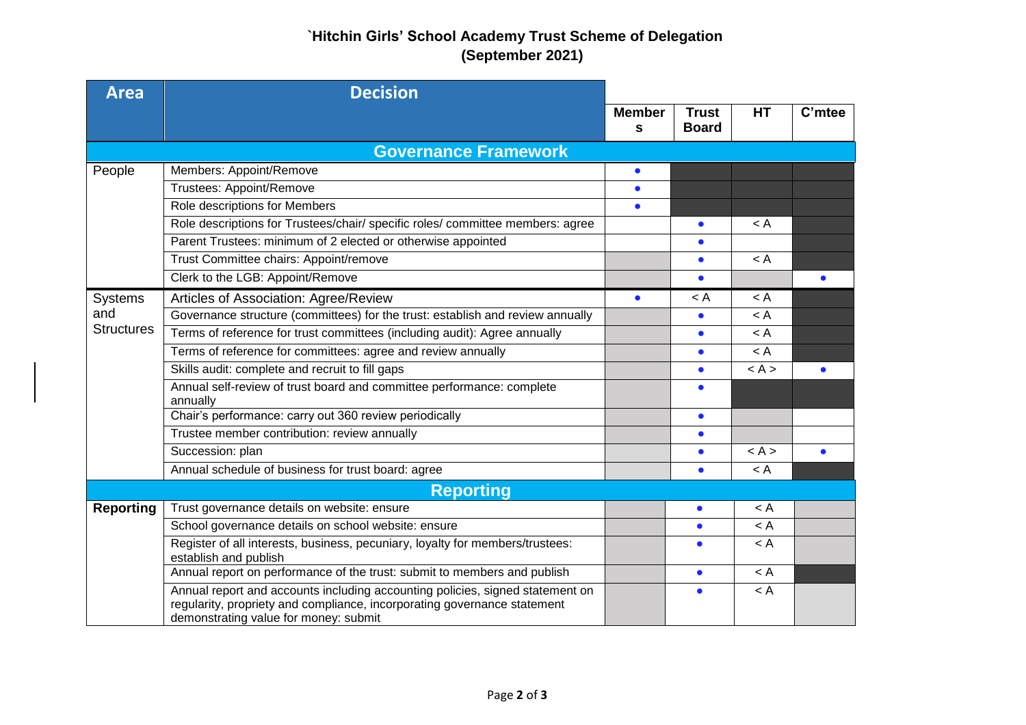# **`Hitchin Girls' School Academy Trust Scheme of Delegation (September 2021)**

| <b>Area</b>                         | <b>Decision</b>                                                                                                                                                                                    |                    |                              |           |           |  |  |
|-------------------------------------|----------------------------------------------------------------------------------------------------------------------------------------------------------------------------------------------------|--------------------|------------------------------|-----------|-----------|--|--|
|                                     |                                                                                                                                                                                                    | <b>Member</b><br>s | <b>Trust</b><br><b>Board</b> | <b>HT</b> | C'mtee    |  |  |
|                                     |                                                                                                                                                                                                    |                    |                              |           |           |  |  |
| <b>Governance Framework</b>         |                                                                                                                                                                                                    |                    |                              |           |           |  |  |
| People                              | Members: Appoint/Remove                                                                                                                                                                            | $\bullet$          |                              |           |           |  |  |
|                                     | <b>Trustees: Appoint/Remove</b>                                                                                                                                                                    | $\bullet$          |                              |           |           |  |  |
|                                     | Role descriptions for Members                                                                                                                                                                      | $\bullet$          |                              |           |           |  |  |
|                                     | Role descriptions for Trustees/chair/ specific roles/ committee members: agree                                                                                                                     |                    | $\bullet$                    | $\lt$ A   |           |  |  |
|                                     | Parent Trustees: minimum of 2 elected or otherwise appointed                                                                                                                                       |                    |                              |           |           |  |  |
|                                     | Trust Committee chairs: Appoint/remove                                                                                                                                                             |                    | $\bullet$                    | $\lt$ A   |           |  |  |
|                                     | Clerk to the LGB: Appoint/Remove                                                                                                                                                                   |                    |                              |           |           |  |  |
| Systems<br>and<br><b>Structures</b> | Articles of Association: Agree/Review                                                                                                                                                              | $\bullet$          | $\lt$ A                      | < A       |           |  |  |
|                                     | Governance structure (committees) for the trust: establish and review annually                                                                                                                     |                    | $\bullet$                    | $\lt$ A   |           |  |  |
|                                     | Terms of reference for trust committees (including audit): Agree annually                                                                                                                          |                    | $\bullet$                    | $\lt A$   |           |  |  |
|                                     | Terms of reference for committees: agree and review annually                                                                                                                                       |                    |                              | $\lt$ A   |           |  |  |
|                                     | Skills audit: complete and recruit to fill gaps                                                                                                                                                    |                    |                              | < A >     | $\bullet$ |  |  |
|                                     | Annual self-review of trust board and committee performance: complete<br>annually                                                                                                                  |                    |                              |           |           |  |  |
|                                     | Chair's performance: carry out 360 review periodically                                                                                                                                             |                    | $\bullet$                    |           |           |  |  |
|                                     | Trustee member contribution: review annually                                                                                                                                                       |                    | $\bullet$                    |           |           |  |  |
|                                     | Succession: plan                                                                                                                                                                                   |                    | $\bullet$                    | < A >     | $\bullet$ |  |  |
|                                     | Annual schedule of business for trust board: agree                                                                                                                                                 |                    | $\bullet$                    | $\lt A$   |           |  |  |
| <b>Reporting</b>                    |                                                                                                                                                                                                    |                    |                              |           |           |  |  |
| <b>Reporting</b>                    | Trust governance details on website: ensure                                                                                                                                                        |                    | $\bullet$                    | < A       |           |  |  |
|                                     | School governance details on school website: ensure                                                                                                                                                |                    | $\bullet$                    | < A       |           |  |  |
|                                     | Register of all interests, business, pecuniary, loyalty for members/trustees:<br>establish and publish                                                                                             |                    | $\bullet$                    | $\lt$ A   |           |  |  |
|                                     | Annual report on performance of the trust: submit to members and publish                                                                                                                           |                    | $\bullet$                    | $\lt$ A   |           |  |  |
|                                     | Annual report and accounts including accounting policies, signed statement on<br>regularity, propriety and compliance, incorporating governance statement<br>demonstrating value for money: submit |                    | $\bullet$                    | $\lt$ A   |           |  |  |